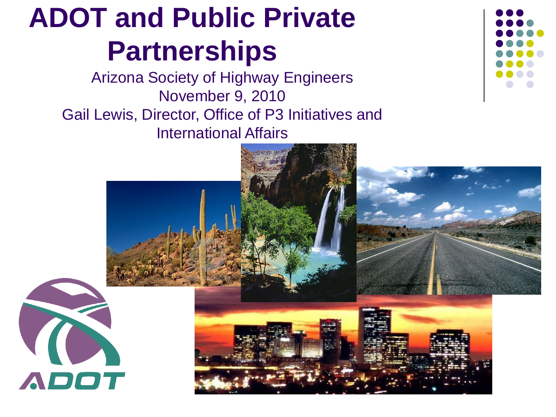#### **ADOT and Public Private Partnerships**

Arizona Society of Highway Engineers November 9, 2010 Gail Lewis, Director, Office of P3 Initiatives and International Affairs



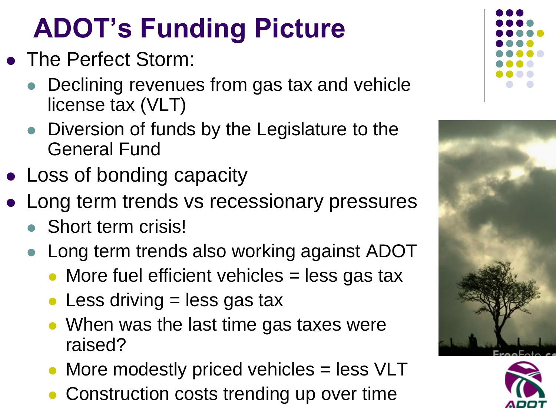#### **ADOT's Funding Picture**

- The Perfect Storm:
	- Declining revenues from gas tax and vehicle license tax (VLT)
	- Diversion of funds by the Legislature to the General Fund
- Loss of bonding capacity
- Long term trends vs recessionary pressures
	- Short term crisis!
	- Long term trends also working against ADOT
		- More fuel efficient vehicles  $=$  less gas tax
		- Less driving  $=$  less gas tax
		- When was the last time gas taxes were raised?
		- More modestly priced vehicles = less VLT
		- Construction costs trending up over time





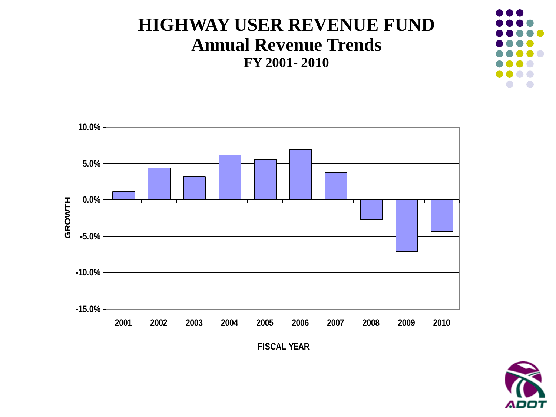#### **HIGHWAY USER REVENUE FUND Annual Revenue Trends FY 2001- 2010**





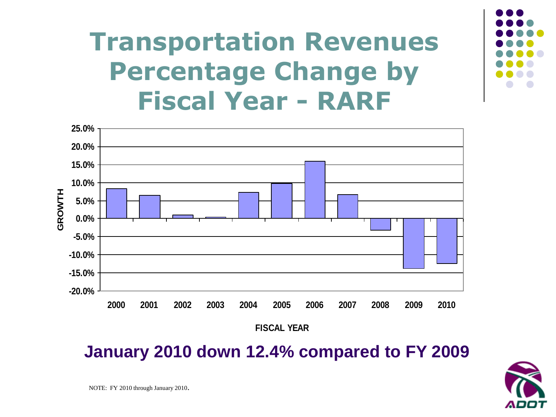#### **Transportation Revenues Percentage Change by Fiscal Year - RARF**



**January 2010 down 12.4% compared to FY 2009**

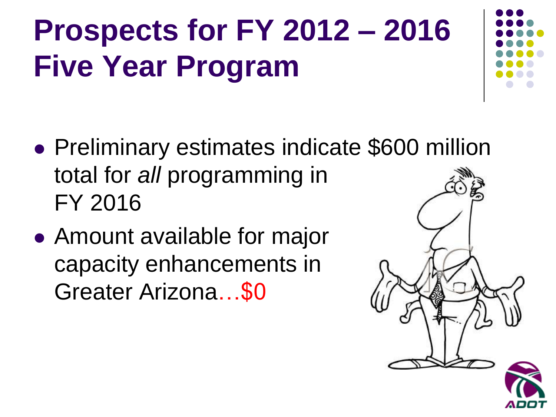# **Prospects for FY 2012 – 2016 Five Year Program**

- Preliminary estimates indicate \$600 million total for *all* programming in FY 2016
- Amount available for major capacity enhancements in Greater Arizona…\$0

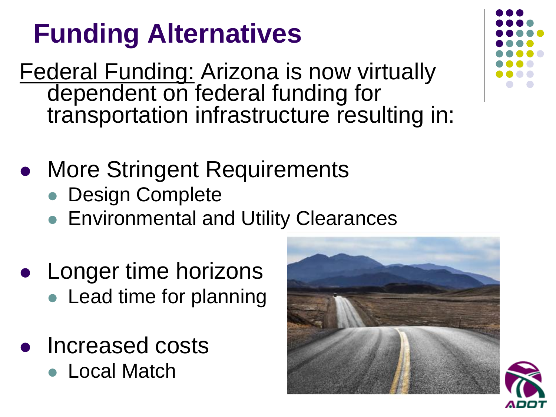#### **Funding Alternatives**

- Federal Funding: Arizona is now virtually dependent on federal funding for transportation infrastructure resulting in:
- More Stringent Requirements
	- **Design Complete**
	- **Environmental and Utility Clearances**
- Longer time horizons • Lead time for planning
- Increased costs
	- Local Match





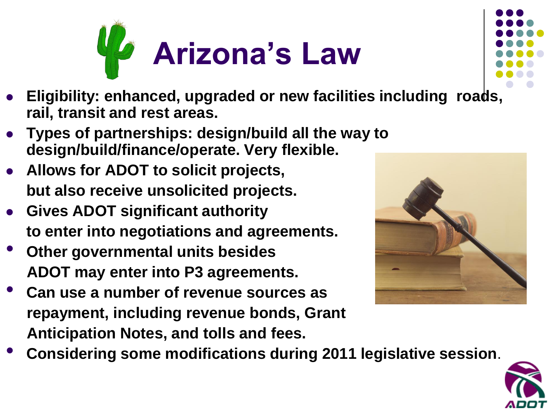



- **Eligibility: enhanced, upgraded or new facilities including roads, rail, transit and rest areas.**
- **Types of partnerships: design/build all the way to design/build/finance/operate. Very flexible.**
- **Allows for ADOT to solicit projects, but also receive unsolicited projects.**
- **Gives ADOT significant authority to enter into negotiations and agreements.**
- **Other governmental units besides ADOT may enter into P3 agreements.**
- **Can use a number of revenue sources as repayment, including revenue bonds, Grant Anticipation Notes, and tolls and fees.**



• **Considering some modifications during 2011 legislative session**.

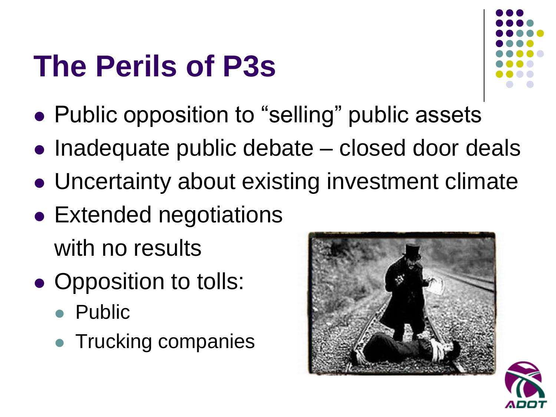#### **The Perils of P3s**



- Public opposition to "selling" public assets
- Inadequate public debate closed door deals
- Uncertainty about existing investment climate
- Extended negotiations with no results
- Opposition to tolls:
	- Public
	- Trucking companies



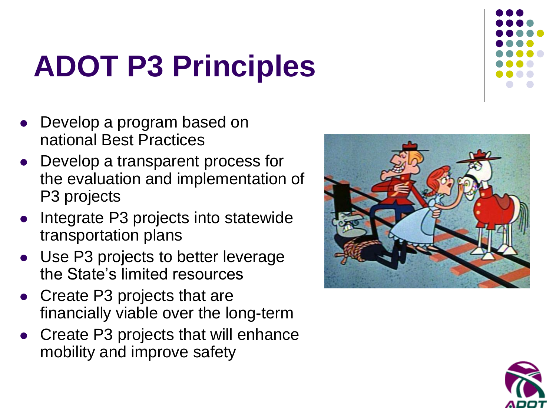#### **ADOT P3 Principles**

- Develop a program based on national Best Practices
- Develop a transparent process for the evaluation and implementation of P3 projects
- Integrate P3 projects into statewide transportation plans
- Use P3 projects to better leverage the State's limited resources
- Create P3 projects that are financially viable over the long-term
- Create P3 projects that will enhance mobility and improve safety





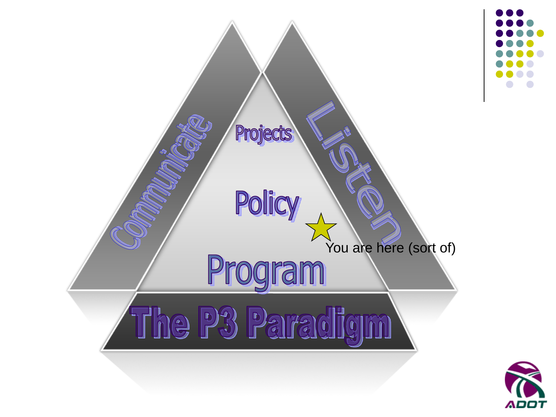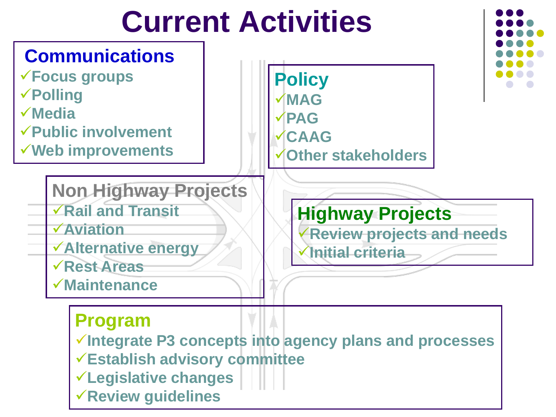#### **Current Activities**

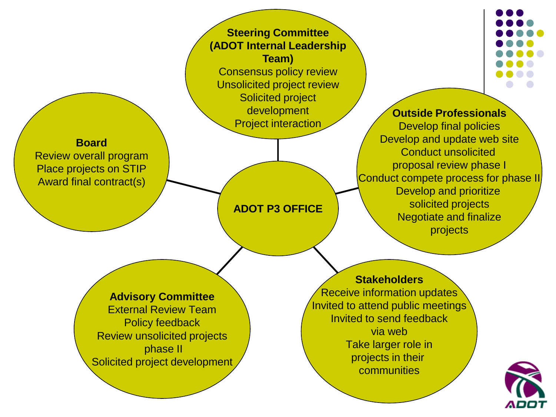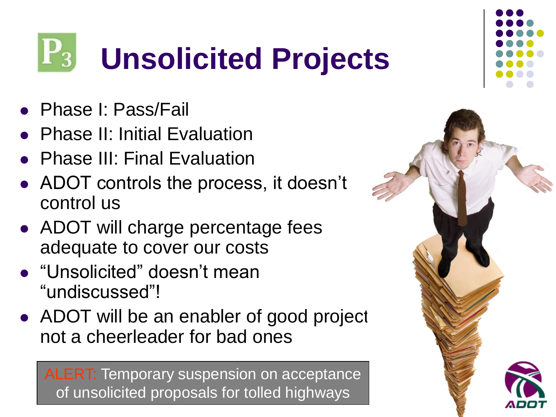#### **Unsolicited Projects**  $\mathbf{r}_3$

- Phase I: Pass/Fail
- Phase II: Initial Evaluation
- Phase III: Final Evaluation
- ADOT controls the process, it doesn't control us
- ADOT will charge percentage fees adequate to cover our costs
- "Unsolicited" doesn't mean "undiscussed"!
- $\bullet$  ADOT will be an enabler of good project not a cheerleader for bad ones

ALERT: Temporary suspension on acceptance of unsolicited proposals for tolled highways

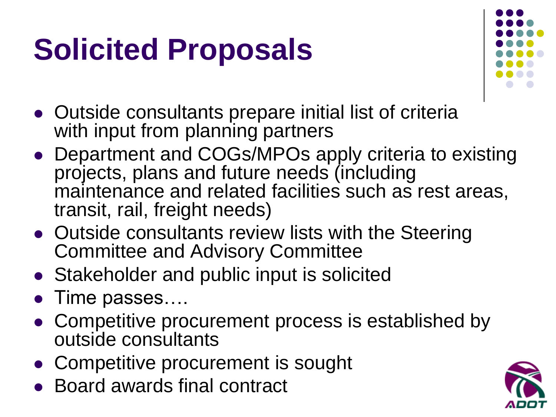#### **Solicited Proposals**



- Outside consultants prepare initial list of criteria with input from planning partners
- Department and COGs/MPOs apply criteria to existing projects, plans and future needs (including maintenance and related facilities such as rest areas, transit, rail, freight needs)
- Outside consultants review lists with the Steering Committee and Advisory Committee
- Stakeholder and public input is solicited
- Time passes….
- Competitive procurement process is established by outside consultants
- Competitive procurement is sought
- Board awards final contract

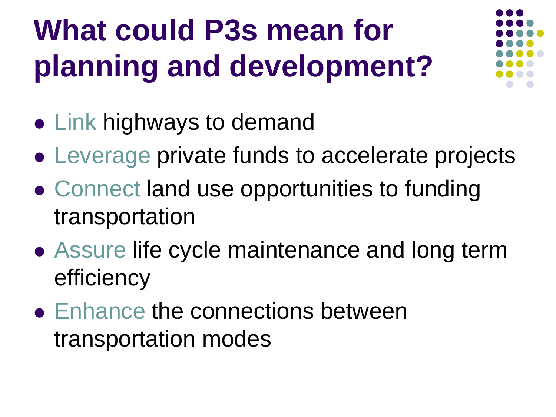# **What could P3s mean for planning and development?**



- Link highways to demand
- Leverage private funds to accelerate projects
- Connect land use opportunities to funding transportation
- Assure life cycle maintenance and long term efficiency
- Enhance the connections between transportation modes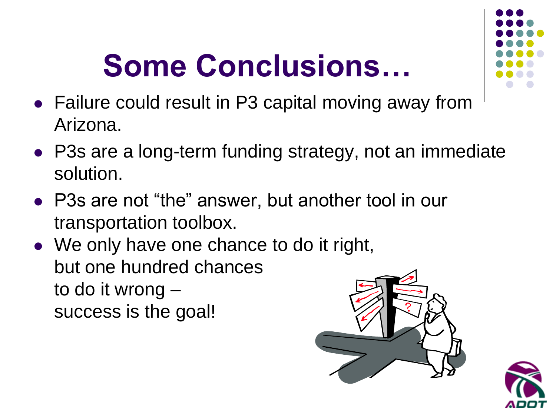# **Some Conclusions…**



- Failure could result in P3 capital moving away from Arizona.
- P3s are a long-term funding strategy, not an immediate solution.
- P3s are not "the" answer, but another tool in our transportation toolbox.
- We only have one chance to do it right, but one hundred chances to do it wrong – success is the goal!